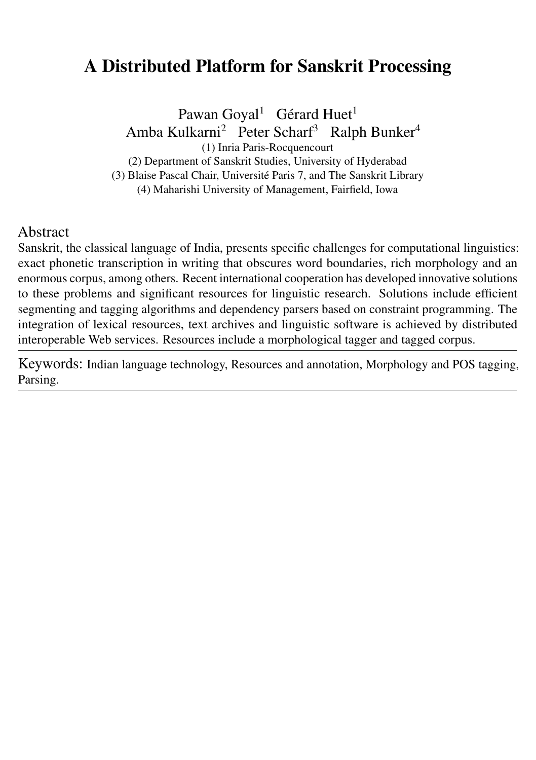# A Distributed Platform for Sanskrit Processing

Pawan Goyal<sup>1</sup> Gérard Huet<sup>1</sup> Amba Kulkarni<sup>2</sup> Peter Scharf<sup>3</sup> Ralph Bunker<sup>4</sup> (1) Inria Paris-Rocquencourt (2) Department of Sanskrit Studies, University of Hyderabad (3) Blaise Pascal Chair, Université Paris 7, and The Sanskrit Library (4) Maharishi University of Management, Fairfield, Iowa

#### Abstract

Sanskrit, the classical language of India, presents specific challenges for computational linguistics: exact phonetic transcription in writing that obscures word boundaries, rich morphology and an enormous corpus, among others. Recent international cooperation has developed innovative solutions to these problems and significant resources for linguistic research. Solutions include efficient segmenting and tagging algorithms and dependency parsers based on constraint programming. The integration of lexical resources, text archives and linguistic software is achieved by distributed interoperable Web services. Resources include a morphological tagger and tagged corpus.

Keywords: Indian language technology, Resources and annotation, Morphology and POS tagging, Parsing.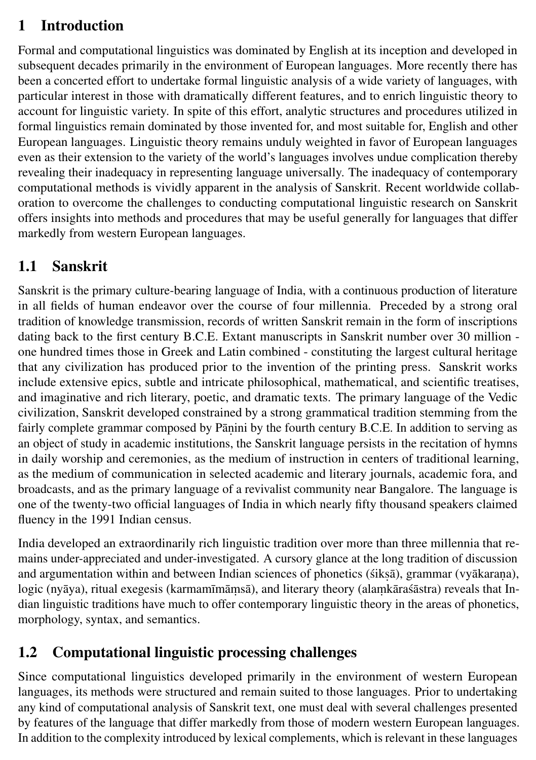# 1 Introduction

Formal and computational linguistics was dominated by English at its inception and developed in subsequent decades primarily in the environment of European languages. More recently there has been a concerted effort to undertake formal linguistic analysis of a wide variety of languages, with particular interest in those with dramatically different features, and to enrich linguistic theory to account for linguistic variety. In spite of this effort, analytic structures and procedures utilized in formal linguistics remain dominated by those invented for, and most suitable for, English and other European languages. Linguistic theory remains unduly weighted in favor of European languages even as their extension to the variety of the world's languages involves undue complication thereby revealing their inadequacy in representing language universally. The inadequacy of contemporary computational methods is vividly apparent in the analysis of Sanskrit. Recent worldwide collaboration to overcome the challenges to conducting computational linguistic research on Sanskrit offers insights into methods and procedures that may be useful generally for languages that differ markedly from western European languages.

# 1.1 Sanskrit

Sanskrit is the primary culture-bearing language of India, with a continuous production of literature in all fields of human endeavor over the course of four millennia. Preceded by a strong oral tradition of knowledge transmission, records of written Sanskrit remain in the form of inscriptions dating back to the first century B.C.E. Extant manuscripts in Sanskrit number over 30 million one hundred times those in Greek and Latin combined - constituting the largest cultural heritage that any civilization has produced prior to the invention of the printing press. Sanskrit works include extensive epics, subtle and intricate philosophical, mathematical, and scientific treatises, and imaginative and rich literary, poetic, and dramatic texts. The primary language of the Vedic civilization, Sanskrit developed constrained by a strong grammatical tradition stemming from the fairly complete grammar composed by Pāṇini by the fourth century B.C.E. In addition to serving as an object of study in academic institutions, the Sanskrit language persists in the recitation of hymns in daily worship and ceremonies, as the medium of instruction in centers of traditional learning, as the medium of communication in selected academic and literary journals, academic fora, and broadcasts, and as the primary language of a revivalist community near Bangalore. The language is one of the twenty-two official languages of India in which nearly fifty thousand speakers claimed fluency in the 1991 Indian census.

India developed an extraordinarily rich linguistic tradition over more than three millennia that remains under-appreciated and under-investigated. A cursory glance at the long tradition of discussion and argumentation within and between Indian sciences of phonetics (śikṣā), grammar (vyākaraṇa), logic (nyāya), ritual exegesis (karmamīmāṃsā), and literary theory (alaṃkāraśāstra) reveals that Indian linguistic traditions have much to offer contemporary linguistic theory in the areas of phonetics, morphology, syntax, and semantics.

# 1.2 Computational linguistic processing challenges

Since computational linguistics developed primarily in the environment of western European languages, its methods were structured and remain suited to those languages. Prior to undertaking any kind of computational analysis of Sanskrit text, one must deal with several challenges presented by features of the language that differ markedly from those of modern western European languages. In addition to the complexity introduced by lexical complements, which is relevant in these languages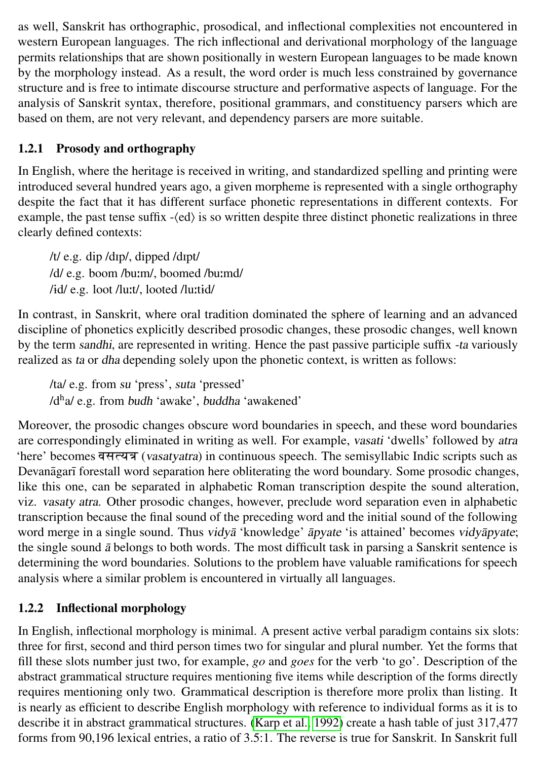as well, Sanskrit has orthographic, prosodical, and inflectional complexities not encountered in western European languages. The rich inflectional and derivational morphology of the language permits relationships that are shown positionally in western European languages to be made known by the morphology instead. As a result, the word order is much less constrained by governance structure and is free to intimate discourse structure and performative aspects of language. For the analysis of Sanskrit syntax, therefore, positional grammars, and constituency parsers which are based on them, are not very relevant, and dependency parsers are more suitable.

#### 1.2.1 Prosody and orthography

In English, where the heritage is received in writing, and standardized spelling and printing were introduced several hundred years ago, a given morpheme is represented with a single orthography despite the fact that it has different surface phonetic representations in different contexts. For example, the past tense suffix  $-\text{ (ed)}$  is so written despite three distinct phonetic realizations in three clearly defined contexts:

/t/ e.g. dip /dIp/, dipped /dIpt/ /d/ e.g. boom /bu:m/, boomed /bu:md/ /id/ e.g. loot /lu:t/, looted /lu:tid/

In contrast, in Sanskrit, where oral tradition dominated the sphere of learning and an advanced discipline of phonetics explicitly described prosodic changes, these prosodic changes, well known by the term sandhi, are represented in writing. Hence the past passive participle suffix -ta variously realized as ta or dha depending solely upon the phonetic context, is written as follows:

/ta/ e.g. from su 'press', suta 'pressed' /d<sup>h</sup>a/ e.g. from budh 'awake', buddha 'awakened'

Moreover, the prosodic changes obscure word boundaries in speech, and these word boundaries are correspondingly eliminated in writing as well. For example, vasati 'dwells' followed by atra 'here' becomes वसत्यत्र (vasatyatra) in continuous speech. The semisyllabic Indic scripts such as Devanāgarī forestall word separation here obliterating the word boundary. Some prosodic changes, like this one, can be separated in alphabetic Roman transcription despite the sound alteration, viz. vasaty atra. Other prosodic changes, however, preclude word separation even in alphabetic transcription because the final sound of the preceding word and the initial sound of the following word merge in a single sound. Thus vidyā 'knowledge' āpyate 'is attained' becomes vidyāpyate; the single sound  $\bar{a}$  belongs to both words. The most difficult task in parsing a Sanskrit sentence is determining the word boundaries. Solutions to the problem have valuable ramifications for speech analysis where a similar problem is encountered in virtually all languages.

#### 1.2.2 Inflectional morphology

In English, inflectional morphology is minimal. A present active verbal paradigm contains six slots: three for first, second and third person times two for singular and plural number. Yet the forms that fill these slots number just two, for example, *go* and *goes* for the verb 'to go'. Description of the abstract grammatical structure requires mentioning five items while description of the forms directly requires mentioning only two. Grammatical description is therefore more prolix than listing. It is nearly as efficient to describe English morphology with reference to individual forms as it is to describe it in abstract grammatical structures. [\(Karp et al., 1992\)](#page-15-0) create a hash table of just 317,477 forms from 90,196 lexical entries, a ratio of 3.5:1. The reverse is true for Sanskrit. In Sanskrit full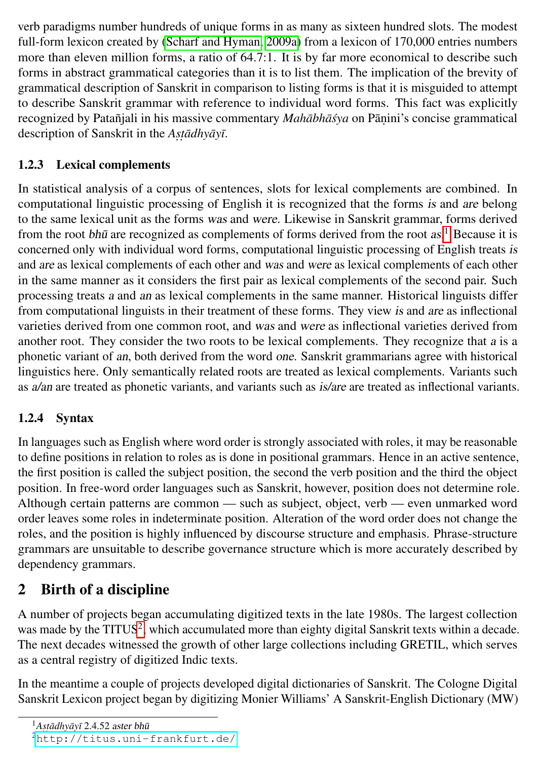verb paradigms number hundreds of unique forms in as many as sixteen hundred slots. The modest full-form lexicon created by [\(Scharf and Hyman, 2009a\)](#page-16-0) from a lexicon of 170,000 entries numbers more than eleven million forms, a ratio of 64.7:1. It is by far more economical to describe such forms in abstract grammatical categories than it is to list them. The implication of the brevity of grammatical description of Sanskrit in comparison to listing forms is that it is misguided to attempt to describe Sanskrit grammar with reference to individual word forms. This fact was explicitly recognized by Patañjali in his massive commentary *Mahābhāśya* on Pāṇini's concise grammatical description of Sanskrit in the *Astadhyayī*.

### 1.2.3 Lexical complements

In statistical analysis of a corpus of sentences, slots for lexical complements are combined. In computational linguistic processing of English it is recognized that the forms is and are belong to the same lexical unit as the forms was and were. Likewise in Sanskrit grammar, forms derived from the root bhū are recognized as complements of forms derived from the root  $as.$ <sup>[1](#page-3-0)</sup> Because it is concerned only with individual word forms, computational linguistic processing of English treats is and are as lexical complements of each other and was and were as lexical complements of each other in the same manner as it considers the first pair as lexical complements of the second pair. Such processing treats a and an as lexical complements in the same manner. Historical linguists differ from computational linguists in their treatment of these forms. They view is and are as inflectional varieties derived from one common root, and was and were as inflectional varieties derived from another root. They consider the two roots to be lexical complements. They recognize that a is a phonetic variant of an, both derived from the word one. Sanskrit grammarians agree with historical linguistics here. Only semantically related roots are treated as lexical complements. Variants such as a/an are treated as phonetic variants, and variants such as is/are are treated as inflectional variants.

### 1.2.4 Syntax

In languages such as English where word order is strongly associated with roles, it may be reasonable to define positions in relation to roles as is done in positional grammars. Hence in an active sentence, the first position is called the subject position, the second the verb position and the third the object position. In free-word order languages such as Sanskrit, however, position does not determine role. Although certain patterns are common — such as subject, object, verb — even unmarked word order leaves some roles in indeterminate position. Alteration of the word order does not change the roles, and the position is highly influenced by discourse structure and emphasis. Phrase-structure grammars are unsuitable to describe governance structure which is more accurately described by dependency grammars.

# <span id="page-3-2"></span>2 Birth of a discipline

A number of projects began accumulating digitized texts in the late 1980s. The largest collection was made by the TITUS<sup>[2](#page-3-1)</sup>, which accumulated more than eighty digital Sanskrit texts within a decade. The next decades witnessed the growth of other large collections including GRETIL, which serves as a central registry of digitized Indic texts.

In the meantime a couple of projects developed digital dictionaries of Sanskrit. The Cologne Digital Sanskrit Lexicon project began by digitizing Monier Williams' A Sanskrit-English Dictionary (MW)

<span id="page-3-0"></span><sup>&</sup>lt;sup>1</sup>Astādhyāyī 2.4.52 aster bhū

<span id="page-3-1"></span><sup>2</sup><http://titus.uni-frankfurt.de/>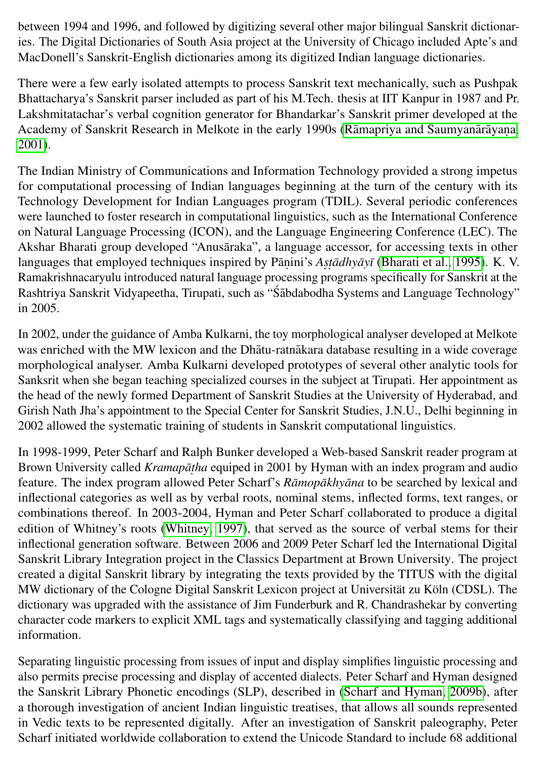between 1994 and 1996, and followed by digitizing several other major bilingual Sanskrit dictionaries. The Digital Dictionaries of South Asia project at the University of Chicago included Apte's and MacDonell's Sanskrit-English dictionaries among its digitized Indian language dictionaries.

There were a few early isolated attempts to process Sanskrit text mechanically, such as Pushpak Bhattacharya's Sanskrit parser included as part of his M.Tech. thesis at IIT Kanpur in 1987 and Pr. Lakshmitatachar's verbal cognition generator for Bhandarkar's Sanskrit primer developed at the Academy of Sanskrit Research in Melkote in the early 1990s (Rāmapriya and Saumyanārāyana. [2001\)](#page-16-1).

The Indian Ministry of Communications and Information Technology provided a strong impetus for computational processing of Indian languages beginning at the turn of the century with its Technology Development for Indian Languages program (TDIL). Several periodic conferences were launched to foster research in computational linguistics, such as the International Conference on Natural Language Processing (ICON), and the Language Engineering Conference (LEC). The Akshar Bharati group developed "Anusāraka", a language accessor, for accessing texts in other languages that employed techniques inspired by Pāṇini's *Aṣṭādhyāyī* [\(Bharati et al., 1995\)](#page-13-0). K. V. Ramakrishnacaryulu introduced natural language processing programs specifically for Sanskrit at the Rashtriya Sanskrit Vidyapeetha, Tirupati, such as "Sabdabodha Systems and Language Technology" in 2005.

In 2002, under the guidance of Amba Kulkarni, the toy morphological analyser developed at Melkote was enriched with the MW lexicon and the Dhatu-ratn akara database resulting in a wide coverage morphological analyser. Amba Kulkarni developed prototypes of several other analytic tools for Sanksrit when she began teaching specialized courses in the subject at Tirupati. Her appointment as the head of the newly formed Department of Sanskrit Studies at the University of Hyderabad, and Girish Nath Jha's appointment to the Special Center for Sanskrit Studies, J.N.U., Delhi beginning in 2002 allowed the systematic training of students in Sanskrit computational linguistics.

In 1998-1999, Peter Scharf and Ralph Bunker developed a Web-based Sanskrit reader program at Brown University called *Kramapāṭha* equiped in 2001 by Hyman with an index program and audio feature. The index program allowed Peter Scharf's *Rāmopākhyāna* to be searched by lexical and inflectional categories as well as by verbal roots, nominal stems, inflected forms, text ranges, or combinations thereof. In 2003-2004, Hyman and Peter Scharf collaborated to produce a digital edition of Whitney's roots [\(Whitney, 1997\)](#page-16-2), that served as the source of verbal stems for their inflectional generation software. Between 2006 and 2009 Peter Scharf led the International Digital Sanskrit Library Integration project in the Classics Department at Brown University. The project created a digital Sanskrit library by integrating the texts provided by the TITUS with the digital MW dictionary of the Cologne Digital Sanskrit Lexicon project at Universität zu Köln (CDSL). The dictionary was upgraded with the assistance of Jim Funderburk and R. Chandrashekar by converting character code markers to explicit XML tags and systematically classifying and tagging additional information.

Separating linguistic processing from issues of input and display simplifies linguistic processing and also permits precise processing and display of accented dialects. Peter Scharf and Hyman designed the Sanskrit Library Phonetic encodings (SLP), described in [\(Scharf and Hyman, 2009b\)](#page-16-3), after a thorough investigation of ancient Indian linguistic treatises, that allows all sounds represented in Vedic texts to be represented digitally. After an investigation of Sanskrit paleography, Peter Scharf initiated worldwide collaboration to extend the Unicode Standard to include 68 additional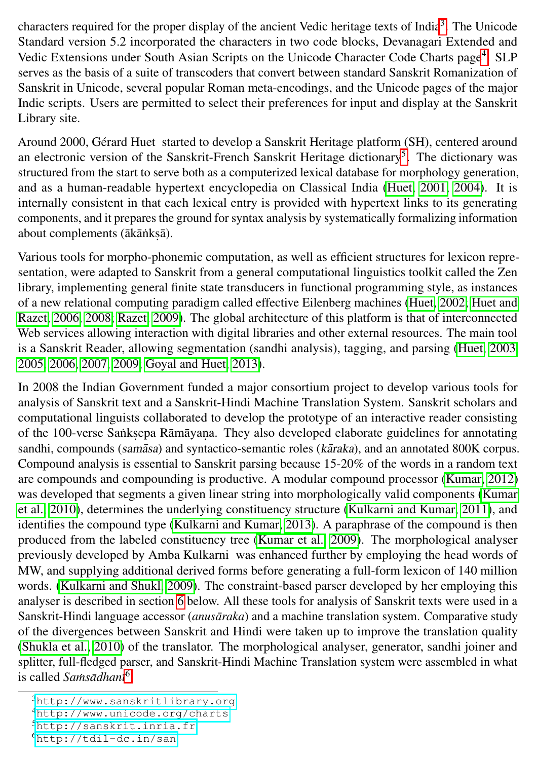characters required for the proper display of the ancient Vedic heritage texts of India<sup>[3](#page-5-0)</sup>. The Unicode Standard version 5.2 incorporated the characters in two code blocks, Devanagari Extended and Vedic Extensions under South Asian Scripts on the Unicode Character Code Charts page<sup>[4](#page-5-1)</sup>. SLP serves as the basis of a suite of transcoders that convert between standard Sanskrit Romanization of Sanskrit in Unicode, several popular Roman meta-encodings, and the Unicode pages of the major Indic scripts. Users are permitted to select their preferences for input and display at the Sanskrit Library site.

Around 2000, Gérard Huet started to develop a Sanskrit Heritage platform (SH), centered around an electronic version of the Sanskrit-French Sanskrit Heritage dictionary<sup>[5](#page-5-2)</sup>. The dictionary was structured from the start to serve both as a computerized lexical database for morphology generation, and as a human-readable hypertext encyclopedia on Classical India [\(Huet, 2001,](#page-14-0) [2004\)](#page-14-1). It is internally consistent in that each lexical entry is provided with hypertext links to its generating components, and it prepares the ground for syntax analysis by systematically formalizing information about complements (ākāṅkṣā).

Various tools for morpho-phonemic computation, as well as efficient structures for lexicon representation, were adapted to Sanskrit from a general computational linguistics toolkit called the Zen library, implementing general finite state transducers in functional programming style, as instances of a new relational computing paradigm called effective Eilenberg machines [\(Huet, 2002;](#page-14-2) [Huet and](#page-14-3) [Razet, 2006,](#page-14-3) [2008;](#page-15-1) [Razet, 2009\)](#page-16-4). The global architecture of this platform is that of interconnected Web services allowing interaction with digital libraries and other external resources. The main tool is a Sanskrit Reader, allowing segmentation (sandhi analysis), tagging, and parsing [\(Huet, 2003,](#page-14-4) [2005,](#page-14-5) [2006,](#page-14-6) [2007,](#page-14-7) [2009;](#page-14-8) [Goyal and Huet, 2013\)](#page-14-9).

In 2008 the Indian Government funded a major consortium project to develop various tools for analysis of Sanskrit text and a Sanskrit-Hindi Machine Translation System. Sanskrit scholars and computational linguists collaborated to develop the prototype of an interactive reader consisting of the 100-verse Sankṣepa Rāmāyaṇa. They also developed elaborate guidelines for annotating sandhi, compounds (samasa) and syntactico-semantic roles (karaka), and an annotated 800K corpus. Compound analysis is essential to Sanskrit parsing because 15-20% of the words in a random text are compounds and compounding is productive. A modular compound processor [\(Kumar, 2012\)](#page-15-2) was developed that segments a given linear string into morphologically valid components [\(Kumar](#page-15-3) [et al., 2010\)](#page-15-3), determines the underlying constituency structure [\(Kulkarni and Kumar, 2011\)](#page-15-4), and identifies the compound type [\(Kulkarni and Kumar, 2013\)](#page-15-5). A paraphrase of the compound is then produced from the labeled constituency tree [\(Kumar et al., 2009\)](#page-15-6). The morphological analyser previously developed by Amba Kulkarni was enhanced further by employing the head words of MW, and supplying additional derived forms before generating a full-form lexicon of 140 million words. [\(Kulkarni and Shukl, 2009\)](#page-15-7). The constraint-based parser developed by her employing this analyser is described in section [6](#page-11-0) below. All these tools for analysis of Sanskrit texts were used in a Sanskrit-Hindi language accessor (*anusāraka*) and a machine translation system. Comparative study of the divergences between Sanskrit and Hindi were taken up to improve the translation quality [\(Shukla et al., 2010\)](#page-16-5) of the translator. The morphological analyser, generator, sandhi joiner and splitter, full-fledged parser, and Sanskrit-Hindi Machine Translation system were assembled in what is called *Samsādhanī*<sup>[6](#page-5-3)</sup>.

<span id="page-5-0"></span><sup>3</sup><http://www.sanskritlibrary.org>

<span id="page-5-1"></span><sup>4</sup><http://www.unicode.org/charts>

<span id="page-5-2"></span><sup>5</sup><http://sanskrit.inria.fr>

<span id="page-5-3"></span><sup>6</sup><http://tdil-dc.in/san>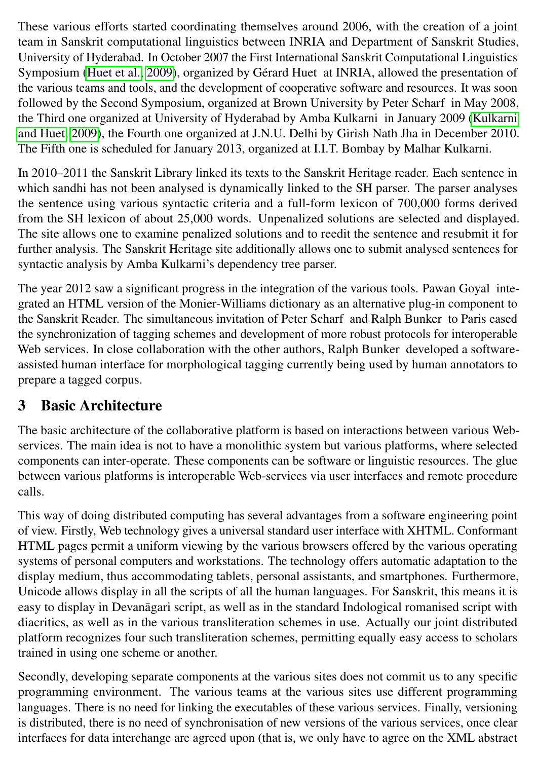These various efforts started coordinating themselves around 2006, with the creation of a joint team in Sanskrit computational linguistics between INRIA and Department of Sanskrit Studies, University of Hyderabad. In October 2007 the First International Sanskrit Computational Linguistics Symposium [\(Huet et al., 2009\)](#page-14-10), organized by Gérard Huet at INRIA, allowed the presentation of the various teams and tools, and the development of cooperative software and resources. It was soon followed by the Second Symposium, organized at Brown University by Peter Scharf in May 2008, the Third one organized at University of Hyderabad by Amba Kulkarni in January 2009 [\(Kulkarni](#page-15-8) [and Huet, 2009\)](#page-15-8), the Fourth one organized at J.N.U. Delhi by Girish Nath Jha in December 2010. The Fifth one is scheduled for January 2013, organized at I.I.T. Bombay by Malhar Kulkarni.

In 2010–2011 the Sanskrit Library linked its texts to the Sanskrit Heritage reader. Each sentence in which sandhi has not been analysed is dynamically linked to the SH parser. The parser analyses the sentence using various syntactic criteria and a full-form lexicon of 700,000 forms derived from the SH lexicon of about 25,000 words. Unpenalized solutions are selected and displayed. The site allows one to examine penalized solutions and to reedit the sentence and resubmit it for further analysis. The Sanskrit Heritage site additionally allows one to submit analysed sentences for syntactic analysis by Amba Kulkarni's dependency tree parser.

The year 2012 saw a significant progress in the integration of the various tools. Pawan Goyal integrated an HTML version of the Monier-Williams dictionary as an alternative plug-in component to the Sanskrit Reader. The simultaneous invitation of Peter Scharf and Ralph Bunker to Paris eased the synchronization of tagging schemes and development of more robust protocols for interoperable Web services. In close collaboration with the other authors, Ralph Bunker developed a softwareassisted human interface for morphological tagging currently being used by human annotators to prepare a tagged corpus.

### 3 Basic Architecture

The basic architecture of the collaborative platform is based on interactions between various Webservices. The main idea is not to have a monolithic system but various platforms, where selected components can inter-operate. These components can be software or linguistic resources. The glue between various platforms is interoperable Web-services via user interfaces and remote procedure calls.

This way of doing distributed computing has several advantages from a software engineering point of view. Firstly, Web technology gives a universal standard user interface with XHTML. Conformant HTML pages permit a uniform viewing by the various browsers offered by the various operating systems of personal computers and workstations. The technology offers automatic adaptation to the display medium, thus accommodating tablets, personal assistants, and smartphones. Furthermore, Unicode allows display in all the scripts of all the human languages. For Sanskrit, this means it is easy to display in Devanāgari script, as well as in the standard Indological romanised script with diacritics, as well as in the various transliteration schemes in use. Actually our joint distributed platform recognizes four such transliteration schemes, permitting equally easy access to scholars trained in using one scheme or another.

Secondly, developing separate components at the various sites does not commit us to any specific programming environment. The various teams at the various sites use different programming languages. There is no need for linking the executables of these various services. Finally, versioning is distributed, there is no need of synchronisation of new versions of the various services, once clear interfaces for data interchange are agreed upon (that is, we only have to agree on the XML abstract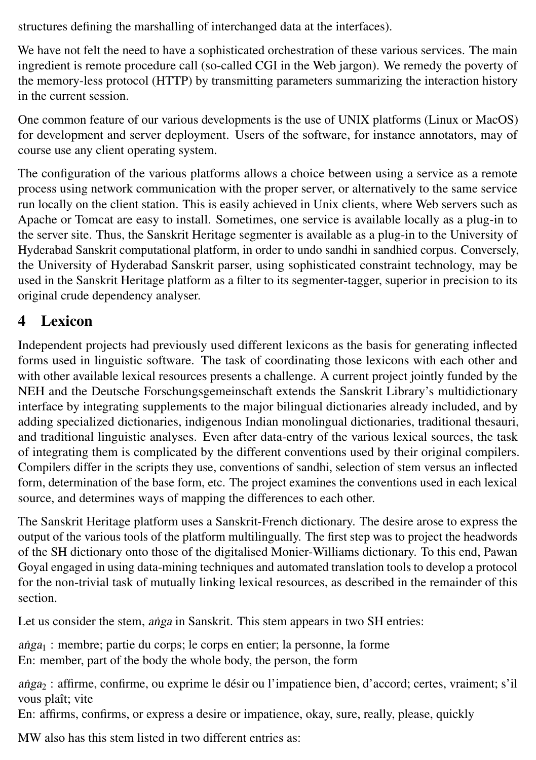structures defining the marshalling of interchanged data at the interfaces).

We have not felt the need to have a sophisticated orchestration of these various services. The main ingredient is remote procedure call (so-called CGI in the Web jargon). We remedy the poverty of the memory-less protocol (HTTP) by transmitting parameters summarizing the interaction history in the current session.

One common feature of our various developments is the use of UNIX platforms (Linux or MacOS) for development and server deployment. Users of the software, for instance annotators, may of course use any client operating system.

The configuration of the various platforms allows a choice between using a service as a remote process using network communication with the proper server, or alternatively to the same service run locally on the client station. This is easily achieved in Unix clients, where Web servers such as Apache or Tomcat are easy to install. Sometimes, one service is available locally as a plug-in to the server site. Thus, the Sanskrit Heritage segmenter is available as a plug-in to the University of Hyderabad Sanskrit computational platform, in order to undo sandhi in sandhied corpus. Conversely, the University of Hyderabad Sanskrit parser, using sophisticated constraint technology, may be used in the Sanskrit Heritage platform as a filter to its segmenter-tagger, superior in precision to its original crude dependency analyser.

### <span id="page-7-0"></span>4 Lexicon

Independent projects had previously used different lexicons as the basis for generating inflected forms used in linguistic software. The task of coordinating those lexicons with each other and with other available lexical resources presents a challenge. A current project jointly funded by the NEH and the Deutsche Forschungsgemeinschaft extends the Sanskrit Library's multidictionary interface by integrating supplements to the major bilingual dictionaries already included, and by adding specialized dictionaries, indigenous Indian monolingual dictionaries, traditional thesauri, and traditional linguistic analyses. Even after data-entry of the various lexical sources, the task of integrating them is complicated by the different conventions used by their original compilers. Compilers differ in the scripts they use, conventions of sandhi, selection of stem versus an inflected form, determination of the base form, etc. The project examines the conventions used in each lexical source, and determines ways of mapping the differences to each other.

The Sanskrit Heritage platform uses a Sanskrit-French dictionary. The desire arose to express the output of the various tools of the platform multilingually. The first step was to project the headwords of the SH dictionary onto those of the digitalised Monier-Williams dictionary. To this end, Pawan Goyal engaged in using data-mining techniques and automated translation tools to develop a protocol for the non-trivial task of mutually linking lexical resources, as described in the remainder of this section.

Let us consider the stem, anga in Sanskrit. This stem appears in two SH entries:

 $a<sub>1</sub>$  : membre; partie du corps; le corps en entier; la personne, la forme En: member, part of the body the whole body, the person, the form

anga<sub>2</sub> : affirme, confirme, ou exprime le désir ou l'impatience bien, d'accord; certes, vraiment; s'il vous plaît; vite

En: affirms, confirms, or express a desire or impatience, okay, sure, really, please, quickly

MW also has this stem listed in two different entries as: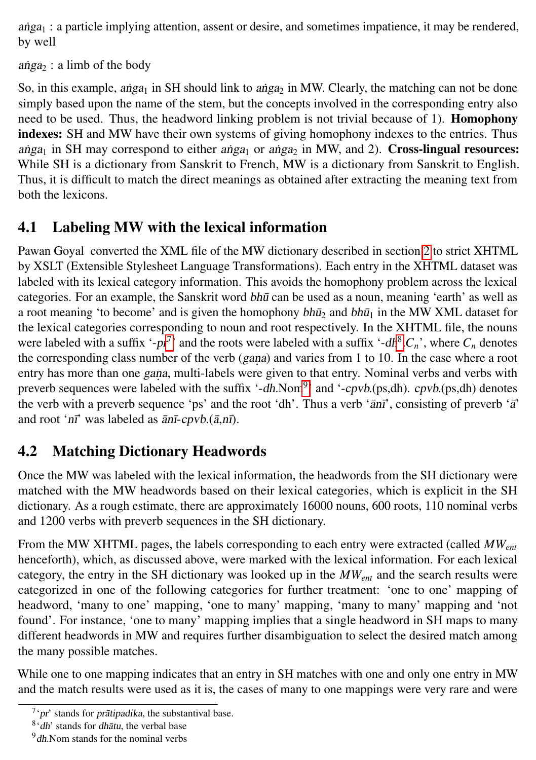$a\nu$ <sub>1</sub> : a particle implying attention, assent or desire, and sometimes impatience, it may be rendered, by well

 $a$ nga<sub>2</sub> : a limb of the body

So, in this example, anga<sub>1</sub> in SH should link to anga<sub>2</sub> in MW. Clearly, the matching can not be done simply based upon the name of the stem, but the concepts involved in the corresponding entry also need to be used. Thus, the headword linking problem is not trivial because of 1). **Homophony** indexes: SH and MW have their own systems of giving homophony indexes to the entries. Thus anga<sub>1</sub> in SH may correspond to either anga<sub>1</sub> or anga<sub>2</sub> in MW, and 2). Cross-lingual resources: While SH is a dictionary from Sanskrit to French, MW is a dictionary from Sanskrit to English. Thus, it is difficult to match the direct meanings as obtained after extracting the meaning text from both the lexicons.

### 4.1 Labeling MW with the lexical information

Pawan Goyal converted the XML file of the MW dictionary described in section [2](#page-3-2) to strict XHTML by XSLT (Extensible Stylesheet Language Transformations). Each entry in the XHTML dataset was labeled with its lexical category information. This avoids the homophony problem across the lexical categories. For an example, the Sanskrit word bhū can be used as a noun, meaning 'earth' as well as a root meaning 'to become' and is given the homophony  $b h \bar{u}_2$  and  $b h \bar{u}_1$  in the MW XML dataset for the lexical categories corresponding to noun and root respectively. In the XHTML file, the nouns were labeled with a suffix '-pr<sup>[7](#page-8-0)</sup>' and the roots were labeled with a suffix '-dh<sup>[8](#page-8-1)</sup>. $C_n$ ', where  $C_n$  denotes the corresponding class number of the verb (gana) and varies from 1 to 10. In the case where a root entry has more than one gana, multi-labels were given to that entry. Nominal verbs and verbs with preverb sequences were labeled with the suffix '-dh.Nom<sup>[9](#page-8-2)</sup>' and '-cpvb.(ps,dh). cpvb.(ps,dh) denotes the verb with a preverb sequence 'ps' and the root 'dh'. Thus a verb ' $\bar{a}n\bar{r}$ ', consisting of preverb ' $\bar{a}$ ' and root 'nī' was labeled as  $\bar{a}n\bar{i}$ -cpvb.( $\bar{a}$ ,n $\bar{i}$ ).

# 4.2 Matching Dictionary Headwords

Once the MW was labeled with the lexical information, the headwords from the SH dictionary were matched with the MW headwords based on their lexical categories, which is explicit in the SH dictionary. As a rough estimate, there are approximately 16000 nouns, 600 roots, 110 nominal verbs and 1200 verbs with preverb sequences in the SH dictionary.

From the MW XHTML pages, the labels corresponding to each entry were extracted (called *MWent* henceforth), which, as discussed above, were marked with the lexical information. For each lexical category, the entry in the SH dictionary was looked up in the *MWent* and the search results were categorized in one of the following categories for further treatment: 'one to one' mapping of headword, 'many to one' mapping, 'one to many' mapping, 'many to many' mapping and 'not found'. For instance, 'one to many' mapping implies that a single headword in SH maps to many different headwords in MW and requires further disambiguation to select the desired match among the many possible matches.

While one to one mapping indicates that an entry in SH matches with one and only one entry in MW and the match results were used as it is, the cases of many to one mappings were very rare and were

<span id="page-8-0"></span> $7$ 'pr' stands for prātipadika, the substantival base.

<span id="page-8-1"></span> $8$ <sup>6</sup> dh' stands for dhatu, the verbal base

<span id="page-8-2"></span> $9$ dh.Nom stands for the nominal verbs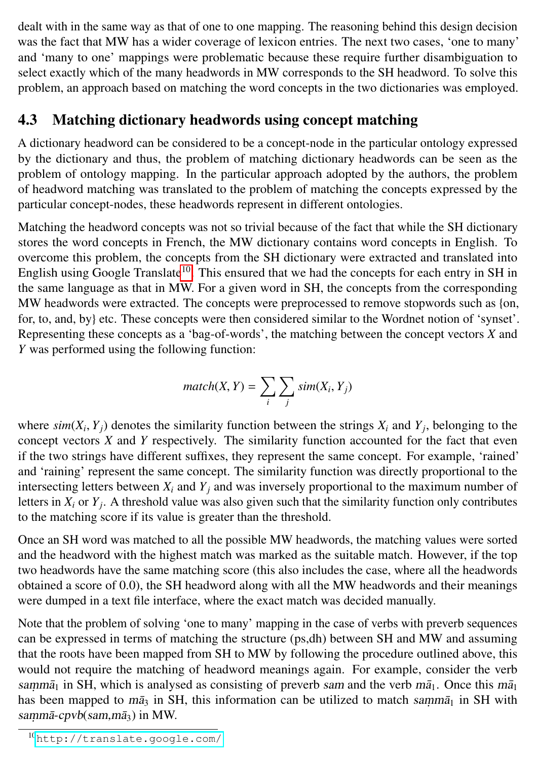dealt with in the same way as that of one to one mapping. The reasoning behind this design decision was the fact that MW has a wider coverage of lexicon entries. The next two cases, 'one to many' and 'many to one' mappings were problematic because these require further disambiguation to select exactly which of the many headwords in MW corresponds to the SH headword. To solve this problem, an approach based on matching the word concepts in the two dictionaries was employed.

### 4.3 Matching dictionary headwords using concept matching

A dictionary headword can be considered to be a concept-node in the particular ontology expressed by the dictionary and thus, the problem of matching dictionary headwords can be seen as the problem of ontology mapping. In the particular approach adopted by the authors, the problem of headword matching was translated to the problem of matching the concepts expressed by the particular concept-nodes, these headwords represent in different ontologies.

Matching the headword concepts was not so trivial because of the fact that while the SH dictionary stores the word concepts in French, the MW dictionary contains word concepts in English. To overcome this problem, the concepts from the SH dictionary were extracted and translated into English using Google Translate<sup>[10](#page-9-0)</sup>. This ensured that we had the concepts for each entry in SH in the same language as that in MW. For a given word in SH, the concepts from the corresponding MW headwords were extracted. The concepts were preprocessed to remove stopwords such as {on, for, to, and, by} etc. These concepts were then considered similar to the Wordnet notion of 'synset'. Representing these concepts as a 'bag-of-words', the matching between the concept vectors *X* and *Y* was performed using the following function:

$$
match(X, Y) = \sum_{i} \sum_{j} sim(X_i, Y_j)
$$

where  $\sin(X_i, Y_j)$  denotes the similarity function between the strings  $X_i$  and  $Y_j$ , belonging to the concept vectors  $X$  and  $Y$  respectively. The similarity function accounted for the fact that even concept vectors *X* and *Y* respectively. The similarity function accounted for the fact that even if the two strings have different suffixes, they represent the same concept. For example, 'rained' and 'raining' represent the same concept. The similarity function was directly proportional to the intersecting letters between  $X_i$  and  $Y_j$  and was inversely proportional to the maximum number of letters in *X<sup>i</sup>* or *Y<sup>j</sup>* . A threshold value was also given such that the similarity function only contributes to the matching score if its value is greater than the threshold.

Once an SH word was matched to all the possible MW headwords, the matching values were sorted and the headword with the highest match was marked as the suitable match. However, if the top two headwords have the same matching score (this also includes the case, where all the headwords obtained a score of <sup>0</sup>.0), the SH headword along with all the MW headwords and their meanings were dumped in a text file interface, where the exact match was decided manually.

Note that the problem of solving 'one to many' mapping in the case of verbs with preverb sequences can be expressed in terms of matching the structure (ps,dh) between SH and MW and assuming that the roots have been mapped from SH to MW by following the procedure outlined above, this would not require the matching of headword meanings again. For example, consider the verb samm $\bar{a}_1$  in SH, which is analysed as consisting of preverb sam and the verb m $\bar{a}_1$ . Once this m $\bar{a}_1$ has been mapped to  $m\bar{a}_3$  in SH, this information can be utilized to match samm $\bar{a}_1$  in SH with sammā-cpvb(sam,mā $_3$ ) in MW.

<span id="page-9-0"></span><sup>10</sup><http://translate.google.com/>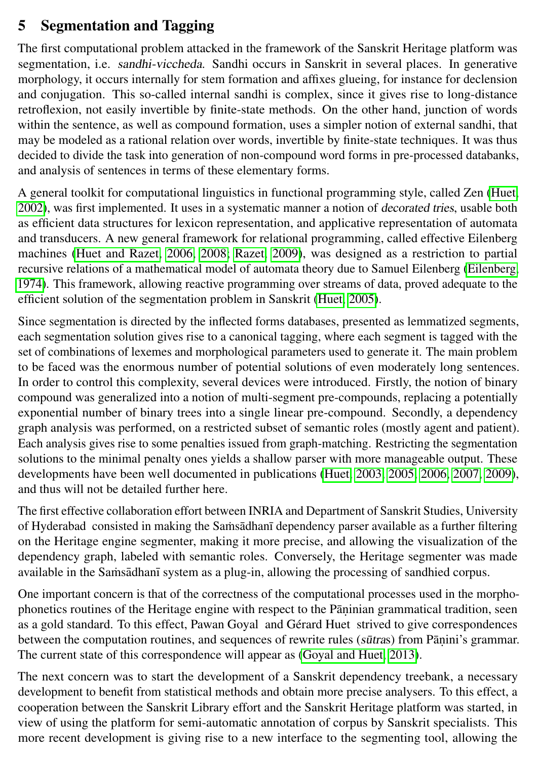### 5 Segmentation and Tagging

The first computational problem attacked in the framework of the Sanskrit Heritage platform was segmentation, i.e. sandhi-viccheda. Sandhi occurs in Sanskrit in several places. In generative morphology, it occurs internally for stem formation and affixes glueing, for instance for declension and conjugation. This so-called internal sandhi is complex, since it gives rise to long-distance retroflexion, not easily invertible by finite-state methods. On the other hand, junction of words within the sentence, as well as compound formation, uses a simpler notion of external sandhi, that may be modeled as a rational relation over words, invertible by finite-state techniques. It was thus decided to divide the task into generation of non-compound word forms in pre-processed databanks, and analysis of sentences in terms of these elementary forms.

A general toolkit for computational linguistics in functional programming style, called Zen [\(Huet,](#page-14-2) [2002\)](#page-14-2), was first implemented. It uses in a systematic manner a notion of decorated tries, usable both as efficient data structures for lexicon representation, and applicative representation of automata and transducers. A new general framework for relational programming, called effective Eilenberg machines [\(Huet and Razet, 2006,](#page-14-3) [2008;](#page-15-1) [Razet, 2009\)](#page-16-4), was designed as a restriction to partial recursive relations of a mathematical model of automata theory due to Samuel Eilenberg [\(Eilenberg,](#page-14-11) [1974\)](#page-14-11). This framework, allowing reactive programming over streams of data, proved adequate to the efficient solution of the segmentation problem in Sanskrit [\(Huet, 2005\)](#page-14-5).

Since segmentation is directed by the inflected forms databases, presented as lemmatized segments, each segmentation solution gives rise to a canonical tagging, where each segment is tagged with the set of combinations of lexemes and morphological parameters used to generate it. The main problem to be faced was the enormous number of potential solutions of even moderately long sentences. In order to control this complexity, several devices were introduced. Firstly, the notion of binary compound was generalized into a notion of multi-segment pre-compounds, replacing a potentially exponential number of binary trees into a single linear pre-compound. Secondly, a dependency graph analysis was performed, on a restricted subset of semantic roles (mostly agent and patient). Each analysis gives rise to some penalties issued from graph-matching. Restricting the segmentation solutions to the minimal penalty ones yields a shallow parser with more manageable output. These developments have been well documented in publications [\(Huet, 2003,](#page-14-4) [2005,](#page-14-5) [2006,](#page-14-6) [2007,](#page-14-7) [2009\)](#page-14-8), and thus will not be detailed further here.

The first effective collaboration effort between INRIA and Department of Sanskrit Studies, University of Hyderabad consisted in making the Samsadhan dependency parser available as a further filtering on the Heritage engine segmenter, making it more precise, and allowing the visualization of the dependency graph, labeled with semantic roles. Conversely, the Heritage segmenter was made available in the Samsadhan isystem as a plug-in, allowing the processing of sandhied corpus.

One important concern is that of the correctness of the computational processes used in the morphophonetics routines of the Heritage engine with respect to the Pāṇinian grammatical tradition, seen as a gold standard. To this effect, Pawan Goyal and Gérard Huet strived to give correspondences between the computation routines, and sequences of rewrite rules (sūtras) from Pāṇini's grammar. The current state of this correspondence will appear as [\(Goyal and Huet, 2013\)](#page-14-9).

The next concern was to start the development of a Sanskrit dependency treebank, a necessary development to benefit from statistical methods and obtain more precise analysers. To this effect, a cooperation between the Sanskrit Library effort and the Sanskrit Heritage platform was started, in view of using the platform for semi-automatic annotation of corpus by Sanskrit specialists. This more recent development is giving rise to a new interface to the segmenting tool, allowing the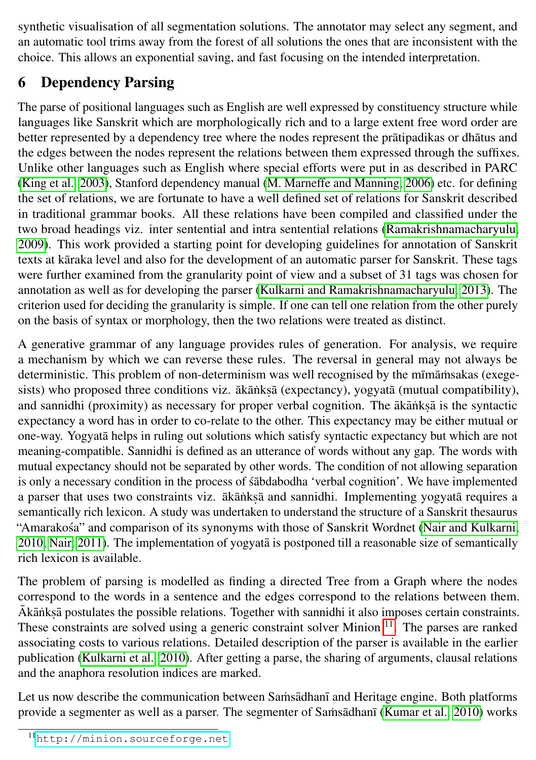synthetic visualisation of all segmentation solutions. The annotator may select any segment, and an automatic tool trims away from the forest of all solutions the ones that are inconsistent with the choice. This allows an exponential saving, and fast focusing on the intended interpretation.

# <span id="page-11-0"></span>6 Dependency Parsing

The parse of positional languages such as English are well expressed by constituency structure while languages like Sanskrit which are morphologically rich and to a large extent free word order are better represented by a dependency tree where the nodes represent the pratipadikas or dhatus and the edges between the nodes represent the relations between them expressed through the suffixes. Unlike other languages such as English where special efforts were put in as described in PARC [\(King et al., 2003\)](#page-15-9), Stanford dependency manual [\(M. Marneffe and Manning, 2006\)](#page-15-10) etc. for defining the set of relations, we are fortunate to have a well defined set of relations for Sanskrit described in traditional grammar books. All these relations have been compiled and classified under the two broad headings viz. inter sentential and intra sentential relations [\(Ramakrishnamacharyulu,](#page-16-6) [2009\)](#page-16-6). This work provided a starting point for developing guidelines for annotation of Sanskrit texts at kāraka level and also for the development of an automatic parser for Sanskrit. These tags were further examined from the granularity point of view and a subset of 31 tags was chosen for annotation as well as for developing the parser [\(Kulkarni and Ramakrishnamacharyulu, 2013\)](#page-15-11). The criterion used for deciding the granularity is simple. If one can tell one relation from the other purely on the basis of syntax or morphology, then the two relations were treated as distinct.

A generative grammar of any language provides rules of generation. For analysis, we require a mechanism by which we can reverse these rules. The reversal in general may not always be deterministic. This problem of non-determinism was well recognised by the mīmāmsakas (exegesists) who proposed three conditions viz. ākānkṣā (expectancy), yogyatā (mutual compatibility), and sannidhi (proximity) as necessary for proper verbal cognition. The ākānkṣā is the syntactic expectancy a word has in order to co-relate to the other. This expectancy may be either mutual or one-way. Yogyata helps in ruling out solutions which satisfy syntactic expectancy but which are not meaning-compatible. Sannidhi is defined as an utterance of words without any gap. The words with mutual expectancy should not be separated by other words. The condition of not allowing separation is only a necessary condition in the process of sabdabodha 'verbal cognition'. We have implemented a parser that uses two constraints viz. ākānkṣā and sannidhi. Implementing yogyatā requires a semantically rich lexicon. A study was undertaken to understand the structure of a Sanskrit thesaurus "Amarakosa" and comparison of its synonyms with those of Sanskrit Wordnet [\(Nair and Kulkarni,](#page-16-7)  $2010$ ; Nair,  $2011$ ). The implementation of yogyata is postponed till a reasonable size of semantically rich lexicon is available.

The problem of parsing is modelled as finding a directed Tree from a Graph where the nodes correspond to the words in a sentence and the edges correspond to the relations between them. Ākānkṣā postulates the possible relations. Together with sannidhi it also imposes certain constraints. These constraints are solved using a generic constraint solver Minion  $<sup>11</sup>$  $<sup>11</sup>$  $<sup>11</sup>$ . The parses are ranked</sup> associating costs to various relations. Detailed description of the parser is available in the earlier publication [\(Kulkarni et al., 2010\)](#page-15-12). After getting a parse, the sharing of arguments, clausal relations and the anaphora resolution indices are marked.

Let us now describe the communication between Samsadhana and Heritage engine. Both platforms provide a segmenter as well as a parser. The segmenter of Samsadhan [\(Kumar et al., 2010\)](#page-15-3) works

<span id="page-11-1"></span><sup>11</sup><http://minion.sourceforge.net>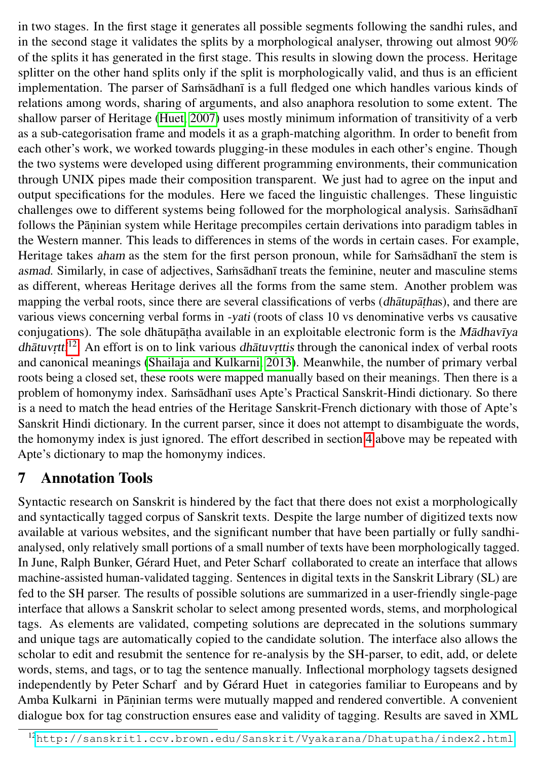in two stages. In the first stage it generates all possible segments following the sandhi rules, and in the second stage it validates the splits by a morphological analyser, throwing out almost 90% of the splits it has generated in the first stage. This results in slowing down the process. Heritage splitter on the other hand splits only if the split is morphologically valid, and thus is an efficient implementation. The parser of Samsadhani is a full fledged one which handles various kinds of relations among words, sharing of arguments, and also anaphora resolution to some extent. The shallow parser of Heritage [\(Huet, 2007\)](#page-14-7) uses mostly minimum information of transitivity of a verb as a sub-categorisation frame and models it as a graph-matching algorithm. In order to benefit from each other's work, we worked towards plugging-in these modules in each other's engine. Though the two systems were developed using different programming environments, their communication through UNIX pipes made their composition transparent. We just had to agree on the input and output specifications for the modules. Here we faced the linguistic challenges. These linguistic challenges owe to different systems being followed for the morphological analysis. Samsadhani follows the Pāṇinian system while Heritage precompiles certain derivations into paradigm tables in the Western manner. This leads to differences in stems of the words in certain cases. For example, Heritage takes aham as the stem for the first person pronoun, while for Samsadhani the stem is asmad. Similarly, in case of adjectives, Samsadhani treats the feminine, neuter and masculine stems as different, whereas Heritage derives all the forms from the same stem. Another problem was mapping the verbal roots, since there are several classifications of verbs (dhātupāṭhas), and there are various views concerning verbal forms in -yati (roots of class 10 vs denominative verbs vs causative conjugations). The sole dhātupāṭha available in an exploitable electronic form is the Mādhavīya dhātuv<sub>r</sub>tti<sup>[12](#page-12-0)</sup>. An effort is on to link various dhātuvrttis through the canonical index of verbal roots and canonical meanings [\(Shailaja and Kulkarni, 2013\)](#page-16-9). Meanwhile, the number of primary verbal roots being a closed set, these roots were mapped manually based on their meanings. Then there is a problem of homonymy index. Samsādhanī uses Apte's Practical Sanskrit-Hindi dictionary. So there is a need to match the head entries of the Heritage Sanskrit-French dictionary with those of Apte's Sanskrit Hindi dictionary. In the current parser, since it does not attempt to disambiguate the words, the homonymy index is just ignored. The effort described in section [4](#page-7-0) above may be repeated with Apte's dictionary to map the homonymy indices.

# 7 Annotation Tools

Syntactic research on Sanskrit is hindered by the fact that there does not exist a morphologically and syntactically tagged corpus of Sanskrit texts. Despite the large number of digitized texts now available at various websites, and the significant number that have been partially or fully sandhianalysed, only relatively small portions of a small number of texts have been morphologically tagged. In June, Ralph Bunker, Gérard Huet, and Peter Scharf collaborated to create an interface that allows machine-assisted human-validated tagging. Sentences in digital texts in the Sanskrit Library (SL) are fed to the SH parser. The results of possible solutions are summarized in a user-friendly single-page interface that allows a Sanskrit scholar to select among presented words, stems, and morphological tags. As elements are validated, competing solutions are deprecated in the solutions summary and unique tags are automatically copied to the candidate solution. The interface also allows the scholar to edit and resubmit the sentence for re-analysis by the SH-parser, to edit, add, or delete words, stems, and tags, or to tag the sentence manually. Inflectional morphology tagsets designed independently by Peter Scharf and by Gérard Huet in categories familiar to Europeans and by Amba Kulkarni in Pāṇinian terms were mutually mapped and rendered convertible. A convenient dialogue box for tag construction ensures ease and validity of tagging. Results are saved in XML

<span id="page-12-0"></span><sup>12</sup><http://sanskrit1.ccv.brown.edu/Sanskrit/Vyakarana/Dhatupatha/index2.html>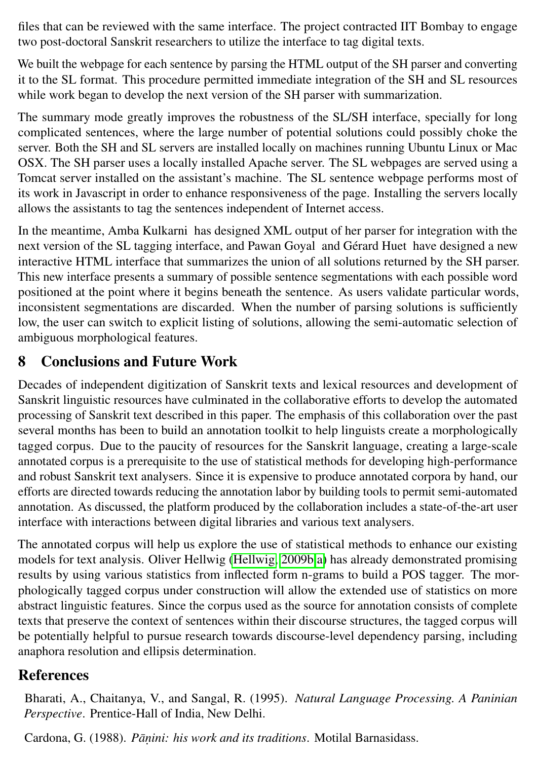files that can be reviewed with the same interface. The project contracted IIT Bombay to engage two post-doctoral Sanskrit researchers to utilize the interface to tag digital texts.

We built the webpage for each sentence by parsing the HTML output of the SH parser and converting it to the SL format. This procedure permitted immediate integration of the SH and SL resources while work began to develop the next version of the SH parser with summarization.

The summary mode greatly improves the robustness of the SL/SH interface, specially for long complicated sentences, where the large number of potential solutions could possibly choke the server. Both the SH and SL servers are installed locally on machines running Ubuntu Linux or Mac OSX. The SH parser uses a locally installed Apache server. The SL webpages are served using a Tomcat server installed on the assistant's machine. The SL sentence webpage performs most of its work in Javascript in order to enhance responsiveness of the page. Installing the servers locally allows the assistants to tag the sentences independent of Internet access.

In the meantime, Amba Kulkarni has designed XML output of her parser for integration with the next version of the SL tagging interface, and Pawan Goyal and Gérard Huet have designed a new interactive HTML interface that summarizes the union of all solutions returned by the SH parser. This new interface presents a summary of possible sentence segmentations with each possible word positioned at the point where it begins beneath the sentence. As users validate particular words, inconsistent segmentations are discarded. When the number of parsing solutions is sufficiently low, the user can switch to explicit listing of solutions, allowing the semi-automatic selection of ambiguous morphological features.

# 8 Conclusions and Future Work

Decades of independent digitization of Sanskrit texts and lexical resources and development of Sanskrit linguistic resources have culminated in the collaborative efforts to develop the automated processing of Sanskrit text described in this paper. The emphasis of this collaboration over the past several months has been to build an annotation toolkit to help linguists create a morphologically tagged corpus. Due to the paucity of resources for the Sanskrit language, creating a large-scale annotated corpus is a prerequisite to the use of statistical methods for developing high-performance and robust Sanskrit text analysers. Since it is expensive to produce annotated corpora by hand, our efforts are directed towards reducing the annotation labor by building tools to permit semi-automated annotation. As discussed, the platform produced by the collaboration includes a state-of-the-art user interface with interactions between digital libraries and various text analysers.

The annotated corpus will help us explore the use of statistical methods to enhance our existing models for text analysis. Oliver Hellwig [\(Hellwig, 2009b,](#page-14-12)[a\)](#page-14-13) has already demonstrated promising results by using various statistics from inflected form n-grams to build a POS tagger. The morphologically tagged corpus under construction will allow the extended use of statistics on more abstract linguistic features. Since the corpus used as the source for annotation consists of complete texts that preserve the context of sentences within their discourse structures, the tagged corpus will be potentially helpful to pursue research towards discourse-level dependency parsing, including anaphora resolution and ellipsis determination.

# References

<span id="page-13-0"></span>Bharati, A., Chaitanya, V., and Sangal, R. (1995). *Natural Language Processing. A Paninian Perspective*. Prentice-Hall of India, New Delhi.

Cardona, G. (1988). Pāņini: his work and its traditions. Motilal Barnasidass.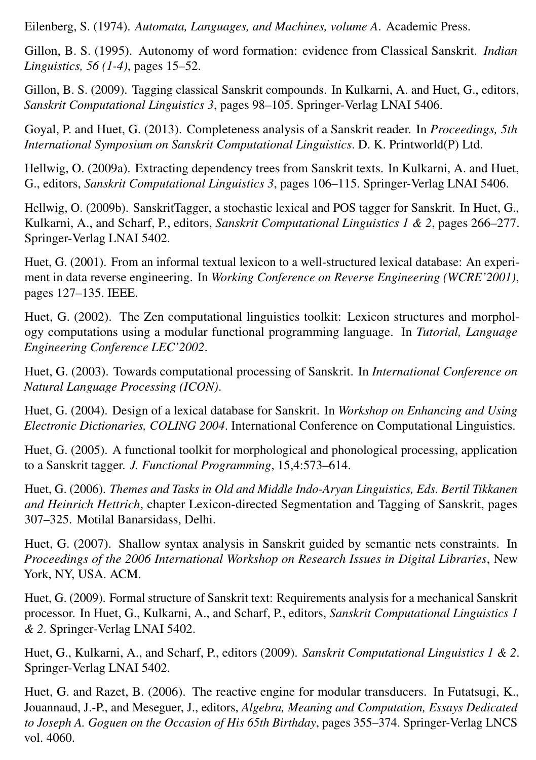<span id="page-14-11"></span>Eilenberg, S. (1974). *Automata, Languages, and Machines, volume A*. Academic Press.

Gillon, B. S. (1995). Autonomy of word formation: evidence from Classical Sanskrit. *Indian Linguistics, 56 (1-4)*, pages 15–52.

Gillon, B. S. (2009). Tagging classical Sanskrit compounds. In Kulkarni, A. and Huet, G., editors, *Sanskrit Computational Linguistics 3*, pages 98–105. Springer-Verlag LNAI 5406.

<span id="page-14-9"></span>Goyal, P. and Huet, G. (2013). Completeness analysis of a Sanskrit reader. In *Proceedings, 5th International Symposium on Sanskrit Computational Linguistics*. D. K. Printworld(P) Ltd.

<span id="page-14-13"></span>Hellwig, O. (2009a). Extracting dependency trees from Sanskrit texts. In Kulkarni, A. and Huet, G., editors, *Sanskrit Computational Linguistics 3*, pages 106–115. Springer-Verlag LNAI 5406.

<span id="page-14-12"></span>Hellwig, O. (2009b). SanskritTagger, a stochastic lexical and POS tagger for Sanskrit. In Huet, G., Kulkarni, A., and Scharf, P., editors, *Sanskrit Computational Linguistics 1 & 2*, pages 266–277. Springer-Verlag LNAI 5402.

<span id="page-14-0"></span>Huet, G. (2001). From an informal textual lexicon to a well-structured lexical database: An experiment in data reverse engineering. In *Working Conference on Reverse Engineering (WCRE'2001)*, pages 127–135. IEEE.

<span id="page-14-2"></span>Huet, G. (2002). The Zen computational linguistics toolkit: Lexicon structures and morphology computations using a modular functional programming language. In *Tutorial, Language Engineering Conference LEC'2002*.

<span id="page-14-4"></span>Huet, G. (2003). Towards computational processing of Sanskrit. In *International Conference on Natural Language Processing (ICON)*.

<span id="page-14-1"></span>Huet, G. (2004). Design of a lexical database for Sanskrit. In *Workshop on Enhancing and Using Electronic Dictionaries, COLING 2004*. International Conference on Computational Linguistics.

<span id="page-14-5"></span>Huet, G. (2005). A functional toolkit for morphological and phonological processing, application to a Sanskrit tagger. *J. Functional Programming*, 15,4:573–614.

<span id="page-14-6"></span>Huet, G. (2006). *Themes and Tasks in Old and Middle Indo-Aryan Linguistics, Eds. Bertil Tikkanen and Heinrich Hettrich*, chapter Lexicon-directed Segmentation and Tagging of Sanskrit, pages 307–325. Motilal Banarsidass, Delhi.

<span id="page-14-7"></span>Huet, G. (2007). Shallow syntax analysis in Sanskrit guided by semantic nets constraints. In *Proceedings of the 2006 International Workshop on Research Issues in Digital Libraries*, New York, NY, USA. ACM.

<span id="page-14-8"></span>Huet, G. (2009). Formal structure of Sanskrit text: Requirements analysis for a mechanical Sanskrit processor. In Huet, G., Kulkarni, A., and Scharf, P., editors, *Sanskrit Computational Linguistics 1 & 2*. Springer-Verlag LNAI 5402.

<span id="page-14-10"></span>Huet, G., Kulkarni, A., and Scharf, P., editors (2009). *Sanskrit Computational Linguistics 1 & 2*. Springer-Verlag LNAI 5402.

<span id="page-14-3"></span>Huet, G. and Razet, B. (2006). The reactive engine for modular transducers. In Futatsugi, K., Jouannaud, J.-P., and Meseguer, J., editors, *Algebra, Meaning and Computation, Essays Dedicated to Joseph A. Goguen on the Occasion of His 65th Birthday*, pages 355–374. Springer-Verlag LNCS vol. 4060.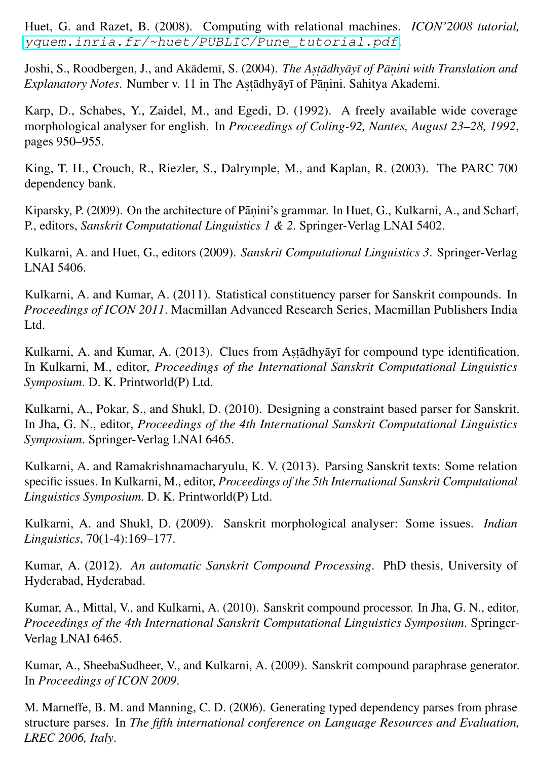<span id="page-15-1"></span>Huet, G. and Razet, B. (2008). Computing with relational machines. *ICON'2008 tutorial,* [yquem.inria.fr/~huet/PUBLIC/Pune\\_tutorial.pdf](yquem.inria.fr/~huet/PUBLIC/Pune_tutorial.pdf).

Joshi, S., Roodbergen, J., and Akādemī, S. (2004). *The Aṣṭādhyāyī of Pāṇini with Translation and Explanatory Notes*. Number v. 11 in The Astādhyāyī of Pāṇini. Sahitya Akademi.

<span id="page-15-0"></span>Karp, D., Schabes, Y., Zaidel, M., and Egedi, D. (1992). A freely available wide coverage morphological analyser for english. In *Proceedings of Coling-92, Nantes, August 23–28, 1992*, pages 950–955.

<span id="page-15-9"></span>King, T. H., Crouch, R., Riezler, S., Dalrymple, M., and Kaplan, R. (2003). The PARC 700 dependency bank.

Kiparsky, P. (2009). On the architecture of Pāṇini's grammar. In Huet, G., Kulkarni, A., and Scharf, P., editors, *Sanskrit Computational Linguistics 1 & 2*. Springer-Verlag LNAI 5402.

<span id="page-15-8"></span>Kulkarni, A. and Huet, G., editors (2009). *Sanskrit Computational Linguistics 3*. Springer-Verlag LNAI 5406.

<span id="page-15-4"></span>Kulkarni, A. and Kumar, A. (2011). Statistical constituency parser for Sanskrit compounds. In *Proceedings of ICON 2011*. Macmillan Advanced Research Series, Macmillan Publishers India Ltd.

<span id="page-15-5"></span>Kulkarni, A. and Kumar, A. (2013). Clues from Aṣṭādhyāyī for compound type identification. In Kulkarni, M., editor, *Proceedings of the International Sanskrit Computational Linguistics Symposium*. D. K. Printworld(P) Ltd.

<span id="page-15-12"></span>Kulkarni, A., Pokar, S., and Shukl, D. (2010). Designing a constraint based parser for Sanskrit. In Jha, G. N., editor, *Proceedings of the 4th International Sanskrit Computational Linguistics Symposium*. Springer-Verlag LNAI 6465.

<span id="page-15-11"></span>Kulkarni, A. and Ramakrishnamacharyulu, K. V. (2013). Parsing Sanskrit texts: Some relation specific issues. In Kulkarni, M., editor, *Proceedings of the 5th International Sanskrit Computational Linguistics Symposium*. D. K. Printworld(P) Ltd.

<span id="page-15-7"></span>Kulkarni, A. and Shukl, D. (2009). Sanskrit morphological analyser: Some issues. *Indian Linguistics*, 70(1-4):169–177.

<span id="page-15-2"></span>Kumar, A. (2012). *An automatic Sanskrit Compound Processing*. PhD thesis, University of Hyderabad, Hyderabad.

<span id="page-15-3"></span>Kumar, A., Mittal, V., and Kulkarni, A. (2010). Sanskrit compound processor. In Jha, G. N., editor, *Proceedings of the 4th International Sanskrit Computational Linguistics Symposium*. Springer-Verlag LNAI 6465.

<span id="page-15-6"></span>Kumar, A., SheebaSudheer, V., and Kulkarni, A. (2009). Sanskrit compound paraphrase generator. In *Proceedings of ICON 2009*.

<span id="page-15-10"></span>M. Marneffe, B. M. and Manning, C. D. (2006). Generating typed dependency parses from phrase structure parses. In *The fifth international conference on Language Resources and Evaluation, LREC 2006, Italy*.